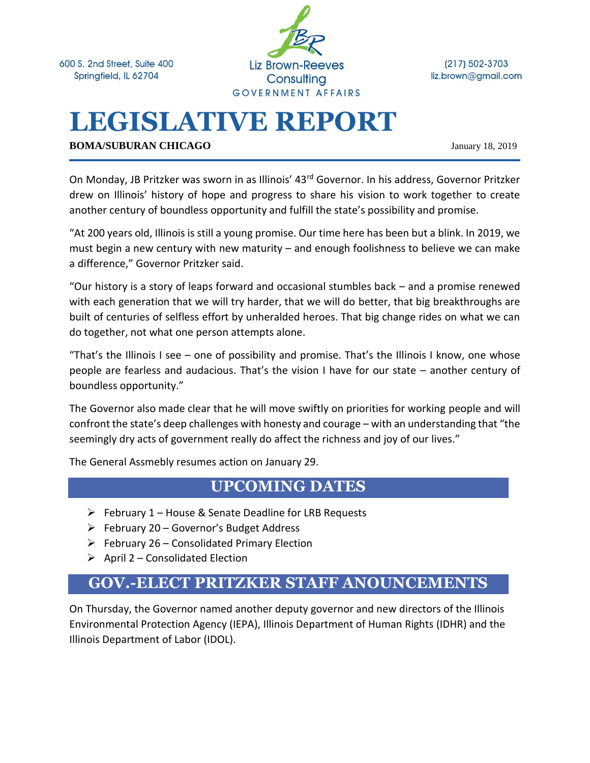600 S. 2nd Street, Suite 400 Springfield, IL 62704



 $(217) 502 - 3703$ liz.brown@gmail.com

# **LEGISLATIVE REPORT**

**BOMA/SUBURAN CHICAGO** January 18, 2019

On Monday, JB Pritzker was sworn in as Illinois' 43<sup>rd</sup> Governor. In his address, Governor Pritzker drew on Illinois' history of hope and progress to share his vision to work together to create another century of boundless opportunity and fulfill the state's possibility and promise.

"At 200 years old, Illinois is still a young promise. Our time here has been but a blink. In 2019, we must begin a new century with new maturity – and enough foolishness to believe we can make a difference," Governor Pritzker said.

"Our history is a story of leaps forward and occasional stumbles back – and a promise renewed with each generation that we will try harder, that we will do better, that big breakthroughs are built of centuries of selfless effort by unheralded heroes. That big change rides on what we can do together, not what one person attempts alone.

"That's the Illinois I see – one of possibility and promise. That's the Illinois I know, one whose people are fearless and audacious. That's the vision I have for our state – another century of boundless opportunity."

The Governor also made clear that he will move swiftly on priorities for working people and will confront the state's deep challenges with honesty and courage – with an understanding that "the seemingly dry acts of government really do affect the richness and joy of our lives."

The General Assmebly resumes action on January 29.

#### **UPCOMING DATES**

- $\triangleright$  February 1 House & Senate Deadline for LRB Requests
- $\triangleright$  February 20 Governor's Budget Address
- $\triangleright$  February 26 Consolidated Primary Election
- $\triangleright$  April 2 Consolidated Election

#### **GOV.-ELECT PRITZKER STAFF ANOUNCEMENTS**

On Thursday, the Governor named another deputy governor and new directors of the Illinois Environmental Protection Agency (IEPA), Illinois Department of Human Rights (IDHR) and the Illinois Department of Labor (IDOL).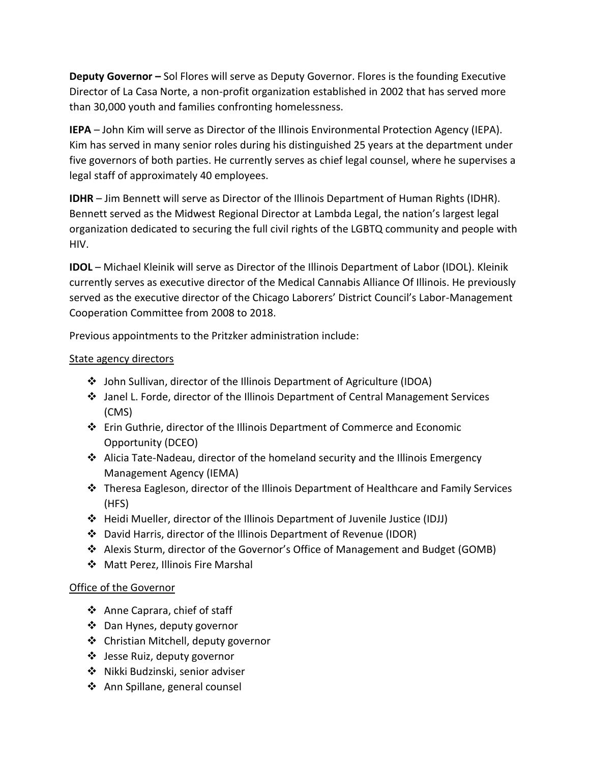**Deputy Governor –** Sol Flores will serve as Deputy Governor. Flores is the founding Executive Director of La Casa Norte, a non-profit organization established in 2002 that has served more than 30,000 youth and families confronting homelessness.

**IEPA** – John Kim will serve as Director of the Illinois Environmental Protection Agency (IEPA). Kim has served in many senior roles during his distinguished 25 years at the department under five governors of both parties. He currently serves as chief legal counsel, where he supervises a legal staff of approximately 40 employees.

**IDHR** – Jim Bennett will serve as Director of the Illinois Department of Human Rights (IDHR). Bennett served as the Midwest Regional Director at Lambda Legal, the nation's largest legal organization dedicated to securing the full civil rights of the LGBTQ community and people with HIV.

**IDOL** – Michael Kleinik will serve as Director of the Illinois Department of Labor (IDOL). Kleinik currently serves as executive director of the Medical Cannabis Alliance Of Illinois. He previously served as the executive director of the Chicago Laborers' District Council's Labor-Management Cooperation Committee from 2008 to 2018.

Previous appointments to the Pritzker administration include:

#### State agency directors

- ❖ John Sullivan, director of the Illinois Department of Agriculture (IDOA)
- ❖ Janel L. Forde, director of the Illinois Department of Central Management Services (CMS)
- ❖ Erin Guthrie, director of the Illinois Department of Commerce and Economic Opportunity (DCEO)
- ❖ Alicia Tate-Nadeau, director of the homeland security and the Illinois Emergency Management Agency (IEMA)
- ❖ Theresa Eagleson, director of the Illinois Department of Healthcare and Family Services (HFS)
- ❖ Heidi Mueller, director of the Illinois Department of Juvenile Justice (IDJJ)
- ❖ David Harris, director of the Illinois Department of Revenue (IDOR)
- ❖ Alexis Sturm, director of the Governor's Office of Management and Budget (GOMB)
- ❖ Matt Perez, Illinois Fire Marshal

#### Office of the Governor

- ❖ Anne Caprara, chief of staff
- ❖ Dan Hynes, deputy governor
- ❖ Christian Mitchell, deputy governor
- ❖ Jesse Ruiz, deputy governor
- ❖ Nikki Budzinski, senior adviser
- ❖ Ann Spillane, general counsel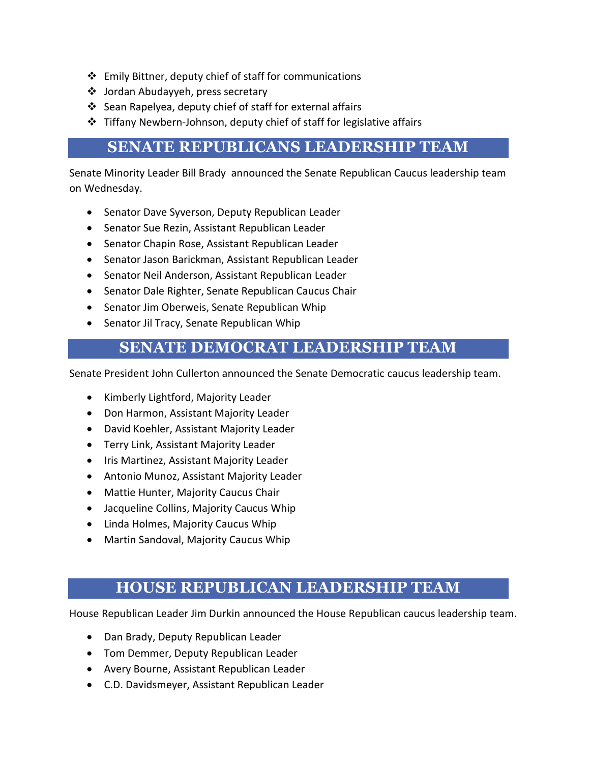- ❖ Emily Bittner, deputy chief of staff for communications
- ❖ Jordan Abudayyeh, press secretary
- ❖ Sean Rapelyea, deputy chief of staff for external affairs
- ❖ Tiffany Newbern-Johnson, deputy chief of staff for legislative affairs

#### **SENATE REPUBLICANS LEADERSHIP TEAM**

Senate Minority Leader Bill Brady announced the Senate Republican Caucus leadership team on Wednesday.

- Senator Dave Syverson, Deputy Republican Leader
- Senator Sue Rezin, Assistant Republican Leader
- Senator Chapin Rose, Assistant Republican Leader
- Senator Jason Barickman, Assistant Republican Leader
- Senator Neil Anderson, Assistant Republican Leader
- Senator Dale Righter, Senate Republican Caucus Chair
- Senator Jim Oberweis, Senate Republican Whip
- Senator Jil Tracy, Senate Republican Whip

### **SENATE DEMOCRAT LEADERSHIP TEAM**

Senate President John Cullerton announced the Senate Democratic caucus leadership team.

- Kimberly Lightford, Majority Leader
- Don Harmon, Assistant Majority Leader
- David Koehler, Assistant Majority Leader
- Terry Link, Assistant Majority Leader
- Iris Martinez, Assistant Majority Leader
- Antonio Munoz, Assistant Majority Leader
- Mattie Hunter, Majority Caucus Chair
- Jacqueline Collins, Majority Caucus Whip
- Linda Holmes, Majority Caucus Whip
- Martin Sandoval, Majority Caucus Whip

#### **HOUSE REPUBLICAN LEADERSHIP TEAM**

House Republican Leader Jim Durkin announced the House Republican caucus leadership team.

- Dan Brady, Deputy Republican Leader
- Tom Demmer, Deputy Republican Leader
- Avery Bourne, Assistant Republican Leader
- C.D. Davidsmeyer, Assistant Republican Leader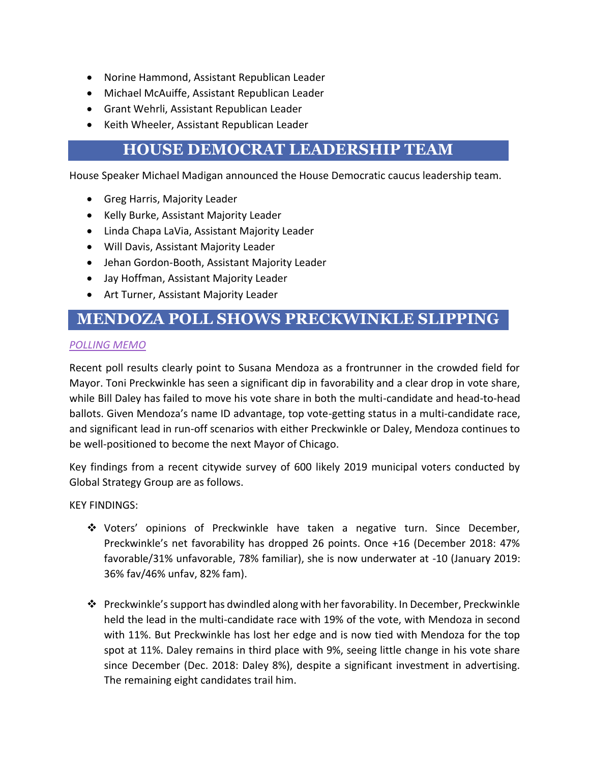- Norine Hammond, Assistant Republican Leader
- Michael McAuiffe, Assistant Republican Leader
- Grant Wehrli, Assistant Republican Leader
- Keith Wheeler, Assistant Republican Leader

#### **HOUSE DEMOCRAT LEADERSHIP TEAM**

House Speaker Michael Madigan announced the House Democratic caucus leadership team.

- Greg Harris, Majority Leader
- Kelly Burke, Assistant Majority Leader
- Linda Chapa LaVia, Assistant Majority Leader
- Will Davis, Assistant Majority Leader
- Jehan Gordon-Booth, Assistant Majority Leader
- Jay Hoffman, Assistant Majority Leader
- Art Turner, Assistant Majority Leader

### **MENDOZA POLL SHOWS PRECKWINKLE SLIPPING**

#### *[POLLING MEMO](https://capitolfax.com/2019/01/17/mendoza-poll-has-bad-news-for-preckwinkle/)*

Recent poll results clearly point to Susana Mendoza as a frontrunner in the crowded field for Mayor. Toni Preckwinkle has seen a significant dip in favorability and a clear drop in vote share, while Bill Daley has failed to move his vote share in both the multi-candidate and head-to-head ballots. Given Mendoza's name ID advantage, top vote-getting status in a multi-candidate race, and significant lead in run-off scenarios with either Preckwinkle or Daley, Mendoza continues to be well-positioned to become the next Mayor of Chicago.

Key findings from a recent citywide survey of 600 likely 2019 municipal voters conducted by Global Strategy Group are as follows.

KEY FINDINGS:

- ❖ Voters' opinions of Preckwinkle have taken a negative turn. Since December, Preckwinkle's net favorability has dropped 26 points. Once +16 (December 2018: 47% favorable/31% unfavorable, 78% familiar), she is now underwater at -10 (January 2019: 36% fav/46% unfav, 82% fam).
- ❖ Preckwinkle's support has dwindled along with her favorability. In December, Preckwinkle held the lead in the multi-candidate race with 19% of the vote, with Mendoza in second with 11%. But Preckwinkle has lost her edge and is now tied with Mendoza for the top spot at 11%. Daley remains in third place with 9%, seeing little change in his vote share since December (Dec. 2018: Daley 8%), despite a significant investment in advertising. The remaining eight candidates trail him.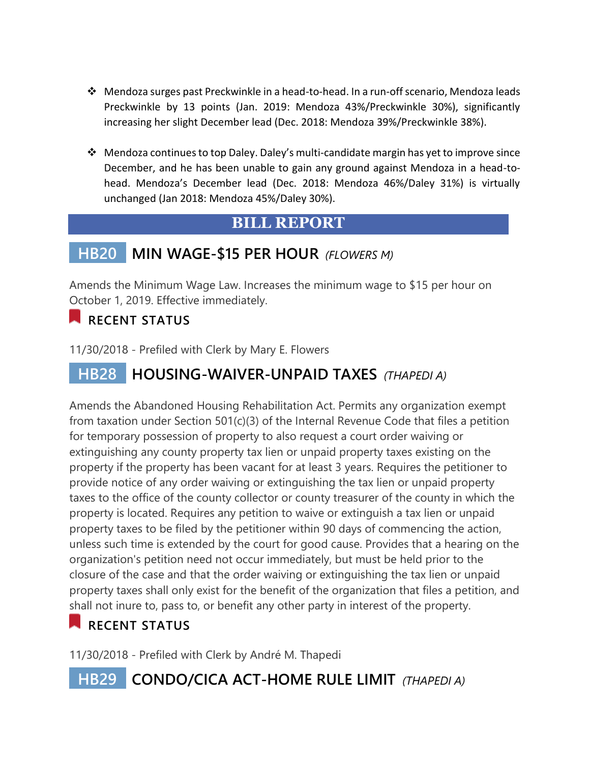- ❖ Mendoza surges past Preckwinkle in a head-to-head. In a run-off scenario, Mendoza leads Preckwinkle by 13 points (Jan. 2019: Mendoza 43%/Preckwinkle 30%), significantly increasing her slight December lead (Dec. 2018: Mendoza 39%/Preckwinkle 38%).
- ❖ Mendoza continues to top Daley. Daley's multi-candidate margin has yet to improve since December, and he has been unable to gain any ground against Mendoza in a head-tohead. Mendoza's December lead (Dec. 2018: Mendoza 46%/Daley 31%) is virtually unchanged (Jan 2018: Mendoza 45%/Daley 30%).

#### **BILL REPORT**

# **HB20 MIN WAGE-\$15 PER HOUR** *(FLOWERS M)*

Amends the Minimum Wage Law. Increases the minimum wage to \$15 per hour on October 1, 2019. Effective immediately.

### **RECENT STATUS**

11/30/2018 - Prefiled with Clerk by Mary E. Flowers

# **HB28 HOUSING-WAIVER-UNPAID TAXES** *(THAPEDI A)*

Amends the Abandoned Housing Rehabilitation Act. Permits any organization exempt from taxation under Section 501(c)(3) of the Internal Revenue Code that files a petition for temporary possession of property to also request a court order waiving or extinguishing any county property tax lien or unpaid property taxes existing on the property if the property has been vacant for at least 3 years. Requires the petitioner to provide notice of any order waiving or extinguishing the tax lien or unpaid property taxes to the office of the county collector or county treasurer of the county in which the property is located. Requires any petition to waive or extinguish a tax lien or unpaid property taxes to be filed by the petitioner within 90 days of commencing the action, unless such time is extended by the court for good cause. Provides that a hearing on the organization's petition need not occur immediately, but must be held prior to the closure of the case and that the order waiving or extinguishing the tax lien or unpaid property taxes shall only exist for the benefit of the organization that files a petition, and shall not inure to, pass to, or benefit any other party in interest of the property.

## **RECENT STATUS**

11/30/2018 - Prefiled with Clerk by André M. Thapedi

# **HB29 CONDO/CICA ACT-HOME RULE LIMIT** *(THAPEDI A)*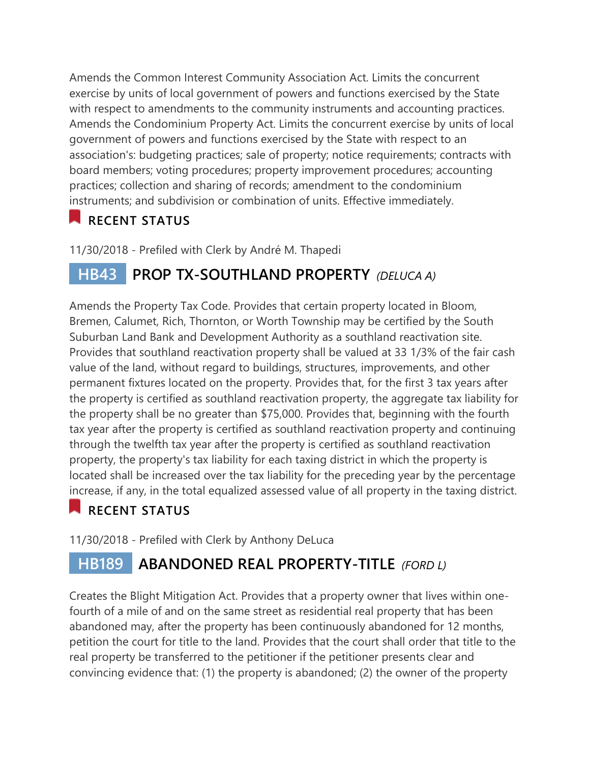Amends the Common Interest Community Association Act. Limits the concurrent exercise by units of local government of powers and functions exercised by the State with respect to amendments to the community instruments and accounting practices. Amends the Condominium Property Act. Limits the concurrent exercise by units of local government of powers and functions exercised by the State with respect to an association's: budgeting practices; sale of property; notice requirements; contracts with board members; voting procedures; property improvement procedures; accounting practices; collection and sharing of records; amendment to the condominium instruments; and subdivision or combination of units. Effective immediately.

## **RECENT STATUS**

11/30/2018 - Prefiled with Clerk by André M. Thapedi

# **HB43 PROP TX-SOUTHLAND PROPERTY** *(DELUCA A)*

Amends the Property Tax Code. Provides that certain property located in Bloom, Bremen, Calumet, Rich, Thornton, or Worth Township may be certified by the South Suburban Land Bank and Development Authority as a southland reactivation site. Provides that southland reactivation property shall be valued at 33 1/3% of the fair cash value of the land, without regard to buildings, structures, improvements, and other permanent fixtures located on the property. Provides that, for the first 3 tax years after the property is certified as southland reactivation property, the aggregate tax liability for the property shall be no greater than \$75,000. Provides that, beginning with the fourth tax year after the property is certified as southland reactivation property and continuing through the twelfth tax year after the property is certified as southland reactivation property, the property's tax liability for each taxing district in which the property is located shall be increased over the tax liability for the preceding year by the percentage increase, if any, in the total equalized assessed value of all property in the taxing district.

# **RECENT STATUS**

11/30/2018 - Prefiled with Clerk by Anthony DeLuca

# **HB189 ABANDONED REAL PROPERTY-TITLE** *(FORD L)*

Creates the Blight Mitigation Act. Provides that a property owner that lives within onefourth of a mile of and on the same street as residential real property that has been abandoned may, after the property has been continuously abandoned for 12 months, petition the court for title to the land. Provides that the court shall order that title to the real property be transferred to the petitioner if the petitioner presents clear and convincing evidence that: (1) the property is abandoned; (2) the owner of the property